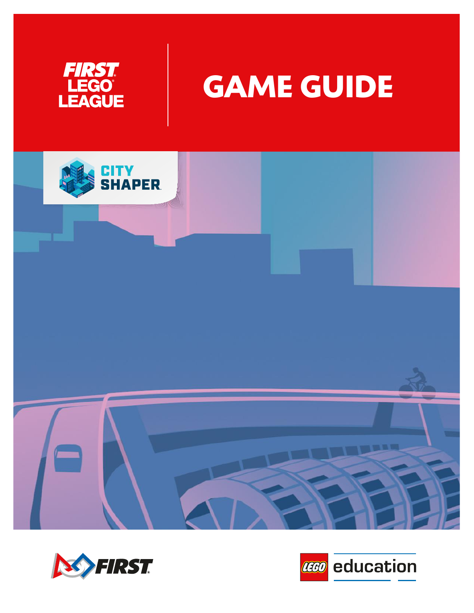



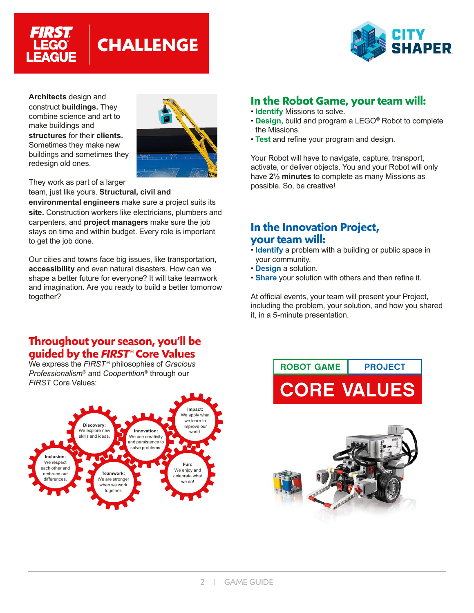



**Architects** design and construct **buildings.** They combine science and art to make buildings and **structures** for their **clients.** Sometimes they make new buildings and sometimes they redesign old ones.



They work as part of a larger

team, just like yours. **Structural, civil and** 

**environmental engineers** make sure a project suits its **site.** Construction workers like electricians, plumbers and carpenters, and **project managers** make sure the job stays on time and within budget. Every role is important to get the job done.

Our cities and towns face big issues, like transportation, **accessibility** and even natural disasters. How can we shape a better future for everyone? It will take teamwork and imagination. Are you ready to build a better tomorrow together?

# **In the Robot Game, your team will:**

- **Identify** Missions to solve.
- **Design,** build and program a LEGO® Robot to complete the Missions.
- **Test** and refine your program and design.

Your Robot will have to navigate, capture, transport, activate, or deliver objects. You and your Robot will only have **2½ minutes** to complete as many Missions as possible. So, be creative!

## **In the Innovation Project, your team will:**

- **Identify** a problem with a building or public space in your community.
- **Design** a solution.
- **Share** your solution with others and then refine it.

At official events, your team will present your Project, including the problem, your solution, and how you shared it, in a 5-minute presentation.

## **Throughout your season, you'll be guided by the** *FIRST* **® Core Values**

We express the *FIRST* ® philosophies of *Gracious Professionalism*® and *Coopertition*® through our *FIRST* Core Values:



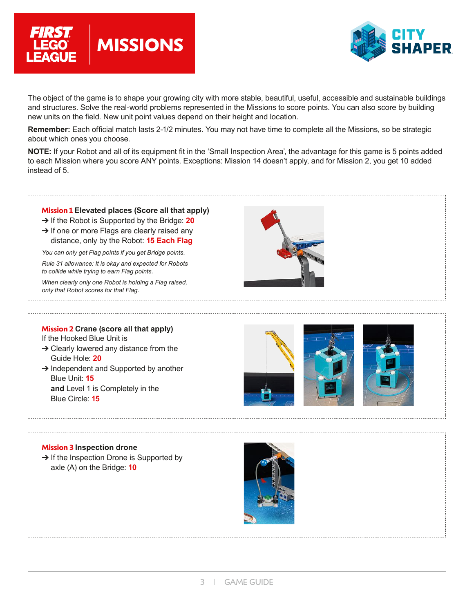



The object of the game is to shape your growing city with more stable, beautiful, useful, accessible and sustainable buildings and structures. Solve the real-world problems represented in the Missions to score points. You can also score by building new units on the field. New unit point values depend on their height and location.

**Remember:** Each official match lasts 2-1/2 minutes. You may not have time to complete all the Missions, so be strategic about which ones you choose.

**NOTE:** If your Robot and all of its equipment fit in the 'Small Inspection Area', the advantage for this game is 5 points added to each Mission where you score ANY points. Exceptions: Mission 14 doesn't apply, and for Mission 2, you get 10 added instead of 5.

#### **Mission 1 Elevated places (Score all that apply)**

- ➔ If the Robot is Supported by the Bridge: **20**
- $\rightarrow$  If one or more Flags are clearly raised any distance, only by the Robot: **15 Each Flag**

*You can only get Flag points if you get Bridge points.*

*Rule 31 allowance: It is okay and expected for Robots to collide while trying to earn Flag points.*

*When clearly only one Robot is holding a Flag raised, only that Robot scores for that Flag.*

#### **Mission 2 Crane (score all that apply)**

If the Hooked Blue Unit is

- ➔ Clearly lowered any distance from the Guide Hole: **20**
- **→ Independent and Supported by another** Blue Unit: **15 and** Level 1 is Completely in the Blue Circle: **15**





#### **Mission 3 Inspection drone**

**→ If the Inspection Drone is Supported by** axle (A) on the Bridge: **10**

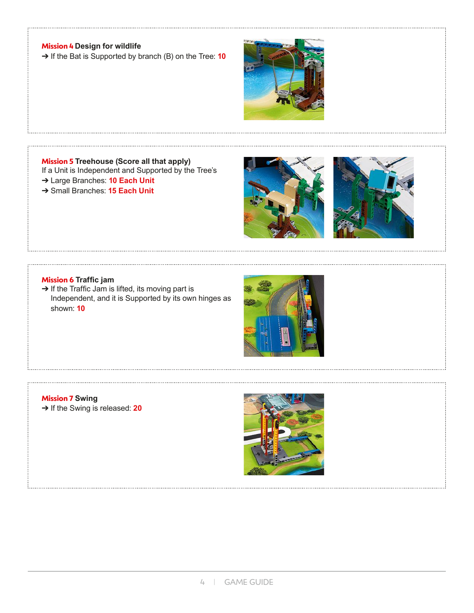### **Mission 4 Design for wildlife**

➔ If the Bat is Supported by branch (B) on the Tree: **10**



#### **Mission 5 Treehouse (Score all that apply)**

If a Unit is Independent and Supported by the Tree's

- ➔ Large Branches: **10 Each Unit**
- ➔ Small Branches: **15 Each Unit**





#### **Mission 6 Traffic jam**

→ If the Traffic Jam is lifted, its moving part is Independent, and it is Supported by its own hinges as shown: **10**



### **Mission 7 Swing** ➔ If the Swing is released: **20**

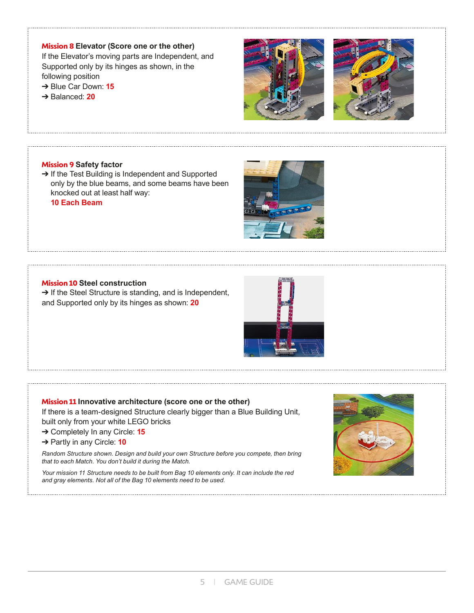### **Mission 8 Elevator (Score one or the other)**

If the Elevator's moving parts are Independent, and Supported only by its hinges as shown, in the following position

- ➔ Blue Car Down: **15**
- ➔ Balanced: **20**





#### **Mission 9 Safety factor**

→ If the Test Building is Independent and Supported only by the blue beams, and some beams have been knocked out at least half way:

**10 Each Beam**



### **Mission 10 Steel construction**

→ If the Steel Structure is standing, and is Independent, and Supported only by its hinges as shown: **20**



#### **Mission 11 Innovative architecture (score one or the other)**

If there is a team-designed Structure clearly bigger than a Blue Building Unit, built only from your white LEGO bricks

- ➔ Completely In any Circle: **15**
- ➔ Partly in any Circle: **10**

*Random Structure shown. Design and build your own Structure before you compete, then bring that to each Match. You don't build it during the Match.*

*Your mission 11 Structure needs to be built from Bag 10 elements only. It can include the red and gray elements. Not all of the Bag 10 elements need to be used.*

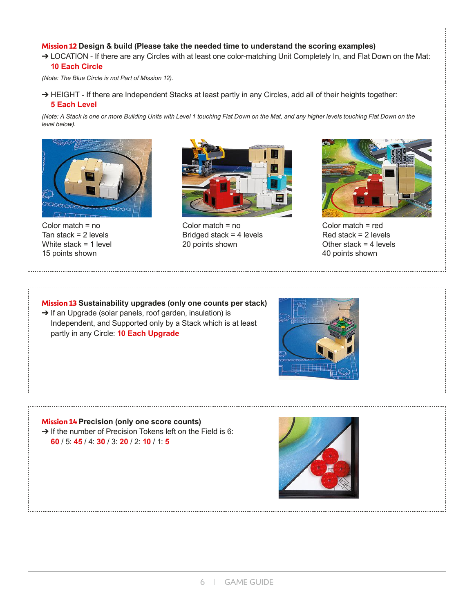### **Mission 12 Design & build (Please take the needed time to understand the scoring examples)**

→ LOCATION - If there are any Circles with at least one color-matching Unit Completely In, and Flat Down on the Mat: **10 Each Circle**

*(Note: The Blue Circle is not Part of Mission 12).*

→ HEIGHT - If there are Independent Stacks at least partly in any Circles, add all of their heights together: **5 Each Level**

*(Note: A Stack is one or more Building Units with Level 1 touching Flat Down on the Mat, and any higher levels touching Flat Down on the level below).*



Color match = no Tan stack  $= 2$  levels White stack = 1 level 15 points shown



Color match = no Bridged stack = 4 levels 20 points shown



Color match = red Red stack = 2 levels Other stack  $=$  4 levels 40 points shown

#### **Mission 13 Sustainability upgrades (only one counts per stack)**

➔ If an Upgrade (solar panels, roof garden, insulation) is Independent, and Supported only by a Stack which is at least partly in any Circle: **10 Each Upgrade**



### **Mission 14 Precision (only one score counts)**

→ If the number of Precision Tokens left on the Field is 6: **60** / 5: **45** / 4: **30** / 3: **20** / 2: **10** / 1: **5**

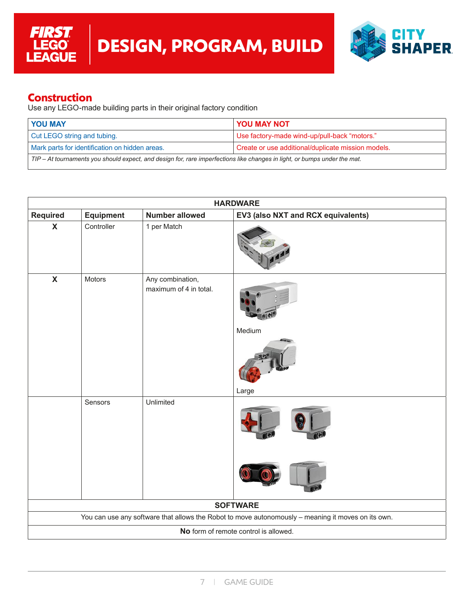

## **Construction**

**FIRST** 

LEGO<sup>®</sup><br>LEAGUE

Use any LEGO-made building parts in their original factory condition

| <b>YOU MAY</b>                                                                                                            | YOU MAY NOT                                        |  |
|---------------------------------------------------------------------------------------------------------------------------|----------------------------------------------------|--|
| Cut LEGO string and tubing.                                                                                               | Use factory-made wind-up/pull-back "motors."       |  |
| Mark parts for identification on hidden areas.                                                                            | Create or use additional/duplicate mission models. |  |
| TIP – At tournaments you should expect, and design for, rare imperfections like changes in light, or bumps under the mat. |                                                    |  |

| <b>HARDWARE</b>                                                                                    |                  |                                            |                                    |  |
|----------------------------------------------------------------------------------------------------|------------------|--------------------------------------------|------------------------------------|--|
| <b>Required</b>                                                                                    | <b>Equipment</b> | <b>Number allowed</b>                      | EV3 (also NXT and RCX equivalents) |  |
| $\mathbf x$                                                                                        | Controller       | 1 per Match                                |                                    |  |
| $\mathbf x$                                                                                        | Motors           | Any combination,<br>maximum of 4 in total. | Medium                             |  |
|                                                                                                    |                  |                                            | Large                              |  |
|                                                                                                    | Sensors          | Unlimited                                  |                                    |  |
|                                                                                                    |                  |                                            |                                    |  |
| <b>SOFTWARE</b>                                                                                    |                  |                                            |                                    |  |
| You can use any software that allows the Robot to move autonomously - meaning it moves on its own. |                  |                                            |                                    |  |
| No form of remote control is allowed.                                                              |                  |                                            |                                    |  |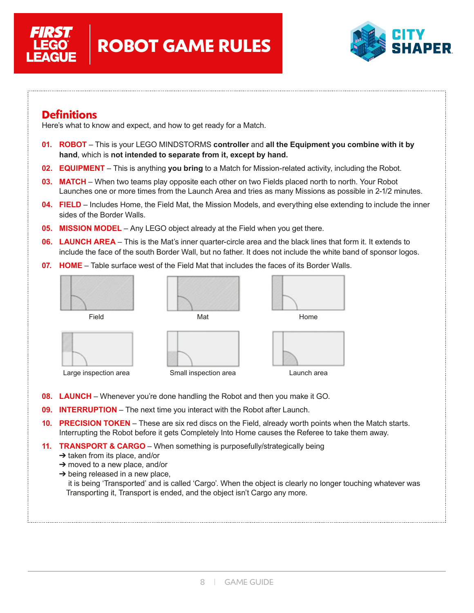



## **Definitions**

Here's what to know and expect, and how to get ready for a Match.

- **01. ROBOT** This is your LEGO MINDSTORMS **controller** and **all the Equipment you combine with it by hand**, which is **not intended to separate from it, except by hand.**
- **02. EQUIPMENT** This is anything **you bring** to a Match for Mission-related activity, including the Robot.
- **03. MATCH** When two teams play opposite each other on two Fields placed north to north. Your Robot Launches one or more times from the Launch Area and tries as many Missions as possible in 2-1/2 minutes.
- **04. FIELD** Includes Home, the Field Mat, the Mission Models, and everything else extending to include the inner sides of the Border Walls.
- **05. MISSION MODEL** Any LEGO object already at the Field when you get there.
- **06. LAUNCH AREA** This is the Mat's inner quarter-circle area and the black lines that form it. It extends to include the face of the south Border Wall, but no father. It does not include the white band of sponsor logos.
- **07. HOME** Table surface west of the Field Mat that includes the faces of its Border Walls.



- **08. LAUNCH** Whenever you're done handling the Robot and then you make it GO.
- **09. INTERRUPTION** The next time you interact with the Robot after Launch.
- **10. PRECISION TOKEN** These are six red discs on the Field, already worth points when the Match starts. Interrupting the Robot before it gets Completely Into Home causes the Referee to take them away.
- **11. TRANSPORT & CARGO** When something is purposefully/strategically being
	- ➔ taken from its place, and/or
	- $\rightarrow$  moved to a new place, and/or
	- $\rightarrow$  being released in a new place,

 it is being 'Transported' and is called 'Cargo'. When the object is clearly no longer touching whatever was Transporting it, Transport is ended, and the object isn't Cargo any more.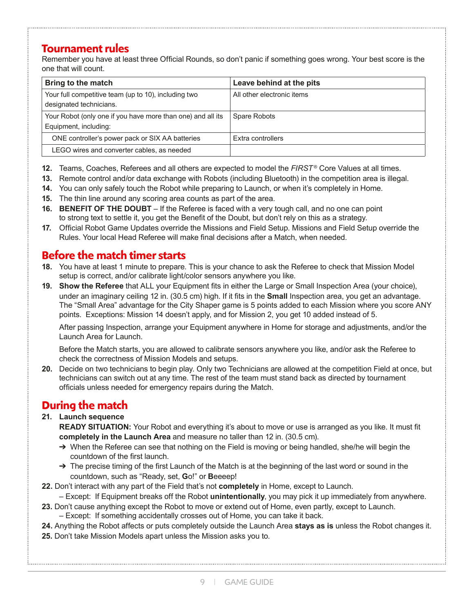# **Tournament rules**

Remember you have at least three Official Rounds, so don't panic if something goes wrong. Your best score is the one that will count.

| Bring to the match                                                                   | Leave behind at the pits   |
|--------------------------------------------------------------------------------------|----------------------------|
| Your full competitive team (up to 10), including two<br>designated technicians.      | All other electronic items |
| Your Robot (only one if you have more than one) and all its<br>Equipment, including: | <b>Spare Robots</b>        |
| ONE controller's power pack or SIX AA batteries                                      | Extra controllers          |
| LEGO wires and converter cables, as needed                                           |                            |

- **12.** Teams, Coaches, Referees and all others are expected to model the *FIRST*<sup>®</sup> Core Values at all times.
- **13.** Remote control and/or data exchange with Robots (including Bluetooth) in the competition area is illegal.
- **14.** You can only safely touch the Robot while preparing to Launch, or when it's completely in Home.
- **15.** The thin line around any scoring area counts as part of the area.
- **16. BENEFIT OF THE DOUBT** If the Referee is faced with a very tough call, and no one can point to strong text to settle it, you get the Benefit of the Doubt, but don't rely on this as a strategy.
- **17.** Official Robot Game Updates override the Missions and Field Setup. Missions and Field Setup override the Rules. Your local Head Referee will make final decisions after a Match, when needed.

# **Before the match timer starts**

- **18.** You have at least 1 minute to prepare. This is your chance to ask the Referee to check that Mission Model setup is correct, and/or calibrate light/color sensors anywhere you like.
- **19. Show the Referee** that ALL your Equipment fits in either the Large or Small Inspection Area (your choice), under an imaginary ceiling 12 in. (30.5 cm) high. If it fits in the **Small** Inspection area, you get an advantage. The "Small Area" advantage for the City Shaper game is 5 points added to each Mission where you score ANY points. Exceptions: Mission 14 doesn't apply, and for Mission 2, you get 10 added instead of 5.

After passing Inspection, arrange your Equipment anywhere in Home for storage and adjustments, and/or the Launch Area for Launch.

Before the Match starts, you are allowed to calibrate sensors anywhere you like, and/or ask the Referee to check the correctness of Mission Models and setups.

**20.** Decide on two technicians to begin play. Only two Technicians are allowed at the competition Field at once, but technicians can switch out at any time. The rest of the team must stand back as directed by tournament officials unless needed for emergency repairs during the Match.

# **During the match**

**21. Launch sequence**

**READY SITUATION:** Your Robot and everything it's about to move or use is arranged as you like. It must fit **completely in the Launch Area** and measure no taller than 12 in. (30.5 cm).

- → When the Referee can see that nothing on the Field is moving or being handled, she/he will begin the countdown of the first launch.
- $\rightarrow$  The precise timing of the first Launch of the Match is at the beginning of the last word or sound in the countdown, such as "Ready, set, **G**o!" or **B**eeeep!
- **22.** Don't interact with any part of the Field that's not **completely** in Home, except to Launch.
	- Except: If Equipment breaks off the Robot **unintentionally**, you may pick it up immediately from anywhere.
- **23.** Don't cause anything except the Robot to move or extend out of Home, even partly, except to Launch.
	- Except: If something accidentally crosses out of Home, you can take it back.
- **24.** Anything the Robot affects or puts completely outside the Launch Area **stays as is** unless the Robot changes it.
- **25.** Don't take Mission Models apart unless the Mission asks you to.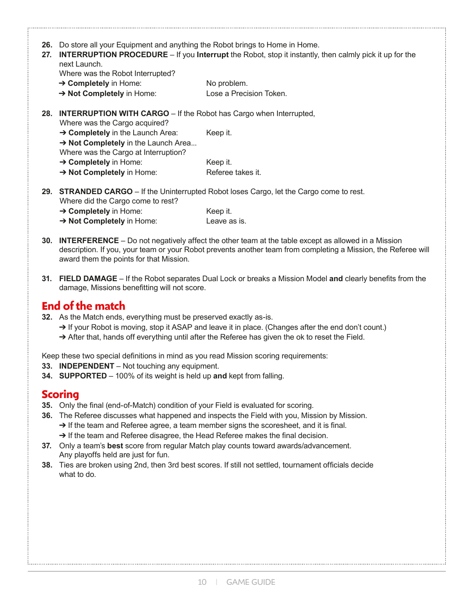| 26. |                                                                                                                                                                                                                                                          |                                                                                                 |  |  |
|-----|----------------------------------------------------------------------------------------------------------------------------------------------------------------------------------------------------------------------------------------------------------|-------------------------------------------------------------------------------------------------|--|--|
| 27. | Do store all your Equipment and anything the Robot brings to Home in Home.<br><b>INTERRUPTION PROCEDURE</b> $-$ If you <b>Interrupt</b> the Robot, stop it instantly, then calmly pick it up for the<br>next Launch.<br>Where was the Robot Interrupted? |                                                                                                 |  |  |
|     | $\rightarrow$ Completely in Home:                                                                                                                                                                                                                        | No problem.                                                                                     |  |  |
|     | $\rightarrow$ Not Completely in Home:                                                                                                                                                                                                                    | Lose a Precision Token.                                                                         |  |  |
|     | 28. INTERRUPTION WITH CARGO - If the Robot has Cargo when Interrupted,<br>Where was the Cargo acquired?                                                                                                                                                  |                                                                                                 |  |  |
|     | $\rightarrow$ Completely in the Launch Area:                                                                                                                                                                                                             | Keep it.                                                                                        |  |  |
|     | $\rightarrow$ Not Completely in the Launch Area                                                                                                                                                                                                          |                                                                                                 |  |  |
|     | Where was the Cargo at Interruption?                                                                                                                                                                                                                     |                                                                                                 |  |  |
|     | $\rightarrow$ Completely in Home:                                                                                                                                                                                                                        | Keep it.                                                                                        |  |  |
|     | $\rightarrow$ Not Completely in Home:                                                                                                                                                                                                                    | Referee takes it.                                                                               |  |  |
|     |                                                                                                                                                                                                                                                          | <b>29. STRANDED CARGO</b> – If the Uninterrupted Robot loses Cargo, let the Cargo come to rest. |  |  |

Where did the Cargo come to rest? **→ Completely** in Home: Keep it.

| .                                     | .            |
|---------------------------------------|--------------|
| $\rightarrow$ Not Completely in Home: | Leave as is. |

- **30. INTERFERENCE** Do not negatively affect the other team at the table except as allowed in a Mission description. If you, your team or your Robot prevents another team from completing a Mission, the Referee will award them the points for that Mission.
- **31. FIELD DAMAGE** If the Robot separates Dual Lock or breaks a Mission Model **and** clearly benefits from the damage, Missions benefitting will not score.

## **End of the match**

- **32.** As the Match ends, everything must be preserved exactly as-is.
	- → If your Robot is moving, stop it ASAP and leave it in place. (Changes after the end don't count.)
	- ➔ After that, hands off everything until after the Referee has given the ok to reset the Field.

Keep these two special definitions in mind as you read Mission scoring requirements:

- **33. INDEPENDENT** Not touching any equipment.
- **34. SUPPORTED** 100% of its weight is held up **and** kept from falling.

## **Scoring**

- **35.** Only the final (end-of-Match) condition of your Field is evaluated for scoring.
- **36.** The Referee discusses what happened and inspects the Field with you, Mission by Mission. → If the team and Referee agree, a team member signs the scoresheet, and it is final.
	- → If the team and Referee disagree, the Head Referee makes the final decision.
- **37.** Only a team's **best** score from regular Match play counts toward awards/advancement. Any playoffs held are just for fun.
- **38.** Ties are broken using 2nd, then 3rd best scores. If still not settled, tournament officials decide what to do.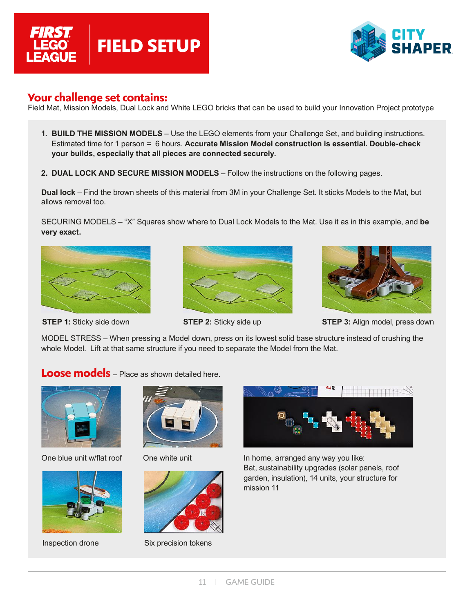



### **Your challenge set contains:**

Field Mat, Mission Models, Dual Lock and White LEGO bricks that can be used to build your Innovation Project prototype

- **1. BUILD THE MISSION MODELS** Use the LEGO elements from your Challenge Set, and building instructions. Estimated time for 1 person = 6 hours. **Accurate Mission Model construction is essential. Double-check your builds, especially that all pieces are connected securely.**
- **2. DUAL LOCK AND SECURE MISSION MODELS** Follow the instructions on the following pages.

**Dual lock** – Find the brown sheets of this material from 3M in your Challenge Set. It sticks Models to the Mat, but allows removal too.

SECURING MODELS – "X" Squares show where to Dual Lock Models to the Mat. Use it as in this example, and **be very exact.**



**STEP 1:** Sticky side down





**STEP 2:** Sticky side up **STEP 3:** Align model, press down

MODEL STRESS – When pressing a Model down, press on its lowest solid base structure instead of crushing the whole Model. Lift at that same structure if you need to separate the Model from the Mat.

### **Loose models** – Place as shown detailed here.







One white unit



Inspection drone Six precision tokens



One blue unit w/flat roof One white unit In home, arranged any way you like: Bat, sustainability upgrades (solar panels, roof garden, insulation), 14 units, your structure for mission 11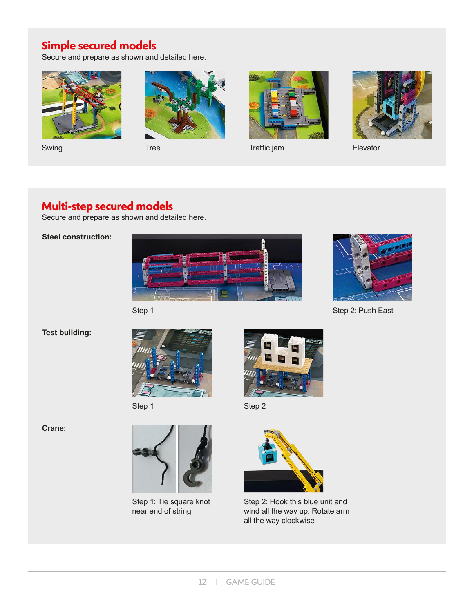# **Simple secured models**

Secure and prepare as shown and detailed here.







Swing Tree Tree Traffic jam Clevator



## **Multi-step secured models**

Secure and prepare as shown and detailed here.

### **Steel construction:**





Step 2: Push East

### **Test building:**



Step 1



Step 2

**Crane:**



Step 1: Tie square knot near end of string



Step 2: Hook this blue unit and wind all the way up. Rotate arm all the way clockwise